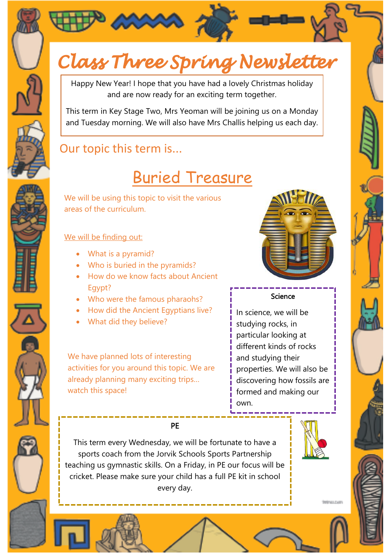



# Class Three Spring Newsletter

Happy New Year! I hope that you have had a lovely Christmas holiday and are now ready for an exciting term together.

This term in Key Stage Two, Mrs Yeoman will be joining us on a Monday and Tuesday morning. We will also have Mrs Challis helping us each day.

## Our topic this term is...

# Buried Treasure

We will be using this topic to visit the various areas of the curriculum.

### We will be finding out:

- What is a pyramid?
- Who is buried in the pyramids?
- How do we know facts about Ancient Egypt?
- Who were the famous pharaohs?
- How did the Ancient Egyptians live?
- What did they believe?

We have planned lots of interesting activities for you around this topic. We are already planning many exciting trips… watch this space!



#### Science

In science, we will be studying rocks, in particular looking at different kinds of rocks and studying their properties. We will also be discovering how fossils are formed and making our own.

This term every Wednesday, we will be fortunate to have a sports coach from the Jorvik Schools Sports Partnership teaching us gymnastic skills. On a Friday, in PE our focus will be cricket. Please make sure your child has a full PE kit in school every day.

PE



**International**